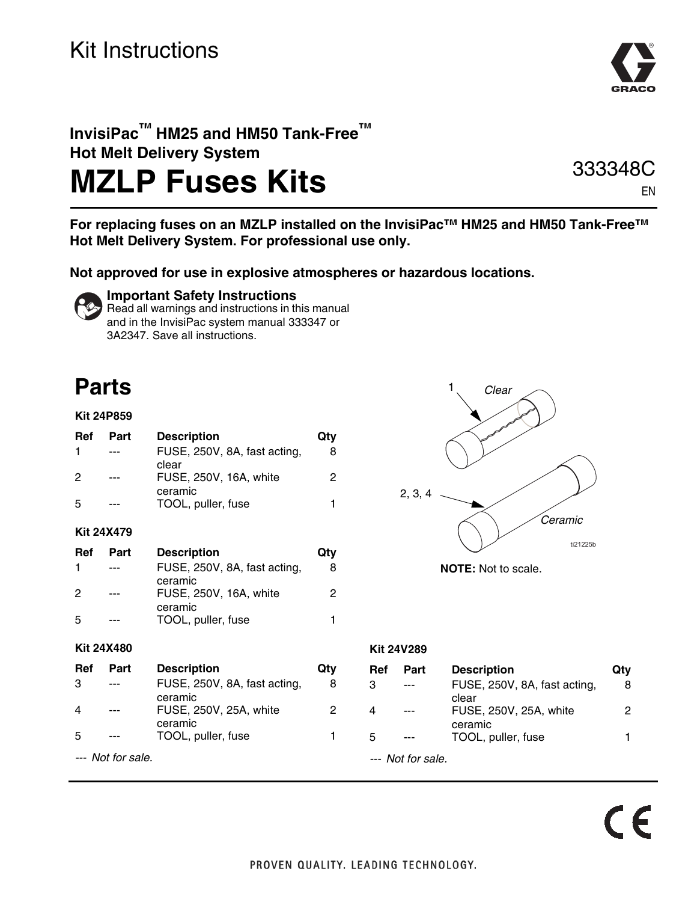### Kit Instructions



### **InvisiPac™ HM25 and HM50 Tank-Free™ Hot Melt Delivery System**

# **MZLP Fuses Kits**

333348C EN

**For replacing fuses on an MZLP installed on the InvisiPac™ HM25 and HM50 Tank-Free™ Hot Melt Delivery System. For professional use only.**

**Not approved for use in explosive atmospheres or hazardous locations.** 



### **Important Safety Instructions**

Read all warnings and instructions in this manual and in the InvisiPac system manual 333347 or 3A2347. Save all instructions.

### **Parts**

#### **Kit 24P859**

| Ref        | Part | <b>Description</b><br>FUSE, 250V, 8A, fast acting, | Qtv<br>8 |
|------------|------|----------------------------------------------------|----------|
| 2          |      | clear<br>FUSE, 250V, 16A, white                    | 2        |
| .5         |      | ceramic<br>TOOL, puller, fuse                      | 1        |
| Kit 24X479 |      |                                                    |          |

| Ref | Part    | <b>Description</b>                | Qty |
|-----|---------|-----------------------------------|-----|
|     | $- - -$ | FUSE, 250V, 8A, fast acting,      |     |
| 2   | ---     | ceramic<br>FUSE, 250V, 16A, white | 2   |
| .5  |         | ceramic<br>TOOL, puller, fuse     |     |

#### **Kit 24X480**

| Ref | Part              | <b>Description</b>                | Qtv |
|-----|-------------------|-----------------------------------|-----|
| 3   |                   | FUSE, 250V, 8A, fast acting,      | 8   |
| 4   |                   | ceramic<br>FUSE, 250V, 25A, white | 2   |
| 5   |                   | ceramic<br>TOOL, puller, fuse     |     |
|     | --- Not for sale. |                                   |     |



**NOTE:** Not to scale.

#### **Kit 24V289**

| Ref | Part              | <b>Description</b>           | Qtv |
|-----|-------------------|------------------------------|-----|
| з   |                   | FUSE, 250V, 8A, fast acting, | 8   |
|     |                   | clear                        |     |
|     |                   | FUSE, 250V, 25A, white       | 2   |
|     |                   | ceramic                      |     |
| 5   |                   | TOOL, puller, fuse           |     |
|     | --- Not for sale. |                              |     |